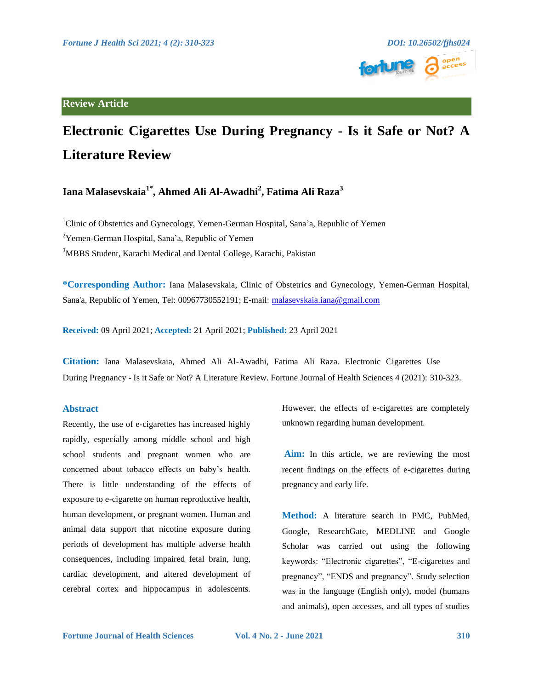



# **Electronic Cigarettes Use During Pregnancy - Is it Safe or Not? A Literature Review**

## **Iana Malasevskaia1\*, Ahmed Ali Al-Awadhi2 , Fatima Ali Raza<sup>3</sup>**

<sup>1</sup>Clinic of Obstetrics and Gynecology, Yemen-German Hospital, Sana'a, Republic of Yemen <sup>2</sup>Yemen-German Hospital, Sana'a, Republic of Yemen <sup>3</sup>MBBS Student, Karachi Medical and Dental College, Karachi, Pakistan

**\*Corresponding Author:** Iana Malasevskaia, Clinic of Obstetrics and Gynecology, Yemen-German Hospital, Sana'a, Republic of Yemen, Tel: 00967730552191; E-mail: [malasevskaia.iana@gmail.com](mailto:malasevskaia.iana@gmail.com)

**Received:** 09 April 2021; **Accepted:** 21 April 2021; **Published:** 23 April 2021

**Citation:** Iana Malasevskaia, Ahmed Ali Al-Awadhi, Fatima Ali Raza. Electronic Cigarettes Use During Pregnancy - Is it Safe or Not? A Literature Review. Fortune Journal of Health Sciences 4 (2021): 310-323.

### **Abstract**

Recently, the use of e-cigarettes has increased highly rapidly, especially among middle school and high school students and pregnant women who are concerned about tobacco effects on baby's health. There is little understanding of the effects of exposure to e-cigarette on human reproductive health, human development, or pregnant women. Human and animal data support that nicotine exposure during periods of development has multiple adverse health consequences, including impaired fetal brain, lung, cardiac development, and altered development of cerebral cortex and hippocampus in adolescents.

However, the effects of e-cigarettes are completely unknown regarding human development.

**Aim:** In this article, we are reviewing the most recent findings on the effects of e-cigarettes during pregnancy and early life.

**Method:** A literature search in PMC, PubMed, Google, ResearchGate, MEDLINE and Google Scholar was carried out using the following keywords: "Electronic cigarettes", "E-cigarettes and pregnancy", "ENDS and pregnancy". Study selection was in the language (English only), model (humans and animals), open accesses, and all types of studies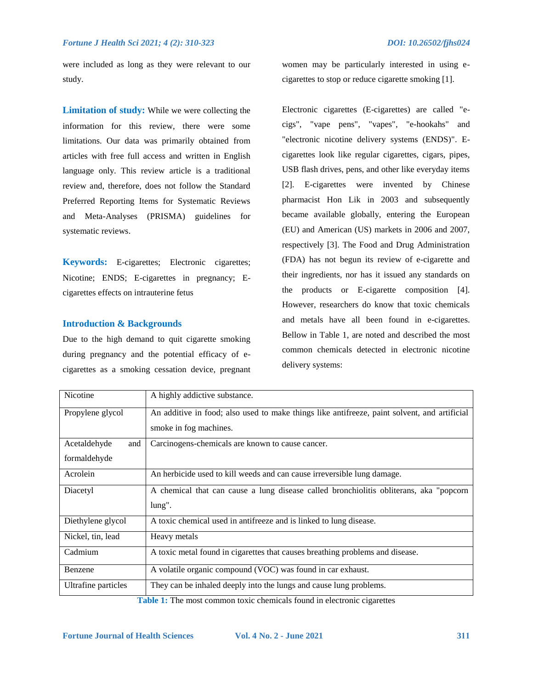were included as long as they were relevant to our study.

**Limitation of study:** While we were collecting the information for this review, there were some limitations. Our data was primarily obtained from articles with free full access and written in English language only. This review article is a traditional review and, therefore, does not follow the Standard Preferred Reporting Items for Systematic Reviews and Meta-Analyses (PRISMA) guidelines for systematic reviews.

**Keywords:** E-cigarettes; Electronic cigarettes; Nicotine; ENDS; E-cigarettes in pregnancy; Ecigarettes effects on intrauterine fetus

#### **Introduction & Backgrounds**

Due to the high demand to quit cigarette smoking during pregnancy and the potential efficacy of ecigarettes as a smoking cessation device, pregnant women may be particularly interested in using ecigarettes to stop or reduce cigarette smoking [1].

Electronic cigarettes (E-cigarettes) are called "ecigs", "vape pens", "vapes", "e-hookahs" and "electronic nicotine delivery systems (ENDS)". Ecigarettes look like regular cigarettes, cigars, pipes, USB flash drives, pens, and other like everyday items [2]. E-cigarettes were invented by Chinese pharmacist Hon Lik in 2003 and subsequently became available globally, entering the European (EU) and American (US) markets in 2006 and 2007, respectively [3]. The Food and Drug Administration (FDA) has not begun its review of e-cigarette and their ingredients, nor has it issued any standards on the products or E-cigarette composition [4]. However, researchers do know that toxic chemicals and metals have all been found in e-cigarettes. Bellow in Table 1, are noted and described the most common chemicals detected in electronic nicotine delivery systems:

| Nicotine            | A highly addictive substance.                                                                |  |  |
|---------------------|----------------------------------------------------------------------------------------------|--|--|
| Propylene glycol    | An additive in food; also used to make things like antifreeze, paint solvent, and artificial |  |  |
|                     | smoke in fog machines.                                                                       |  |  |
| Acetaldehyde<br>and | Carcinogens-chemicals are known to cause cancer.                                             |  |  |
| formaldehyde        |                                                                                              |  |  |
| Acrolein            | An herbicide used to kill weeds and can cause irreversible lung damage.                      |  |  |
| Diacetyl            | A chemical that can cause a lung disease called bronchiolitis obliterans, aka "popcorn"      |  |  |
|                     | lung".                                                                                       |  |  |
| Diethylene glycol   | A toxic chemical used in antifreeze and is linked to lung disease.                           |  |  |
| Nickel, tin, lead   | Heavy metals                                                                                 |  |  |
| Cadmium             | A toxic metal found in cigarettes that causes breathing problems and disease.                |  |  |
| Benzene             | A volatile organic compound (VOC) was found in car exhaust.                                  |  |  |
| Ultrafine particles | They can be inhaled deeply into the lungs and cause lung problems.                           |  |  |

**Table 1:** The most common toxic chemicals found in electronic cigarettes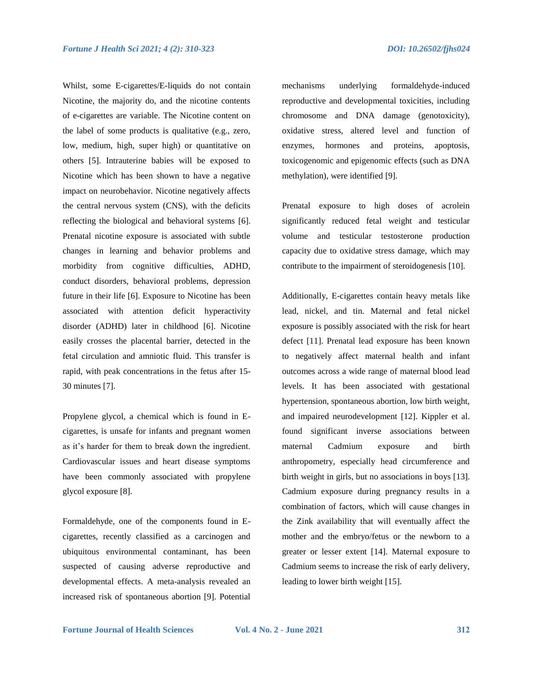Whilst, some E-cigarettes/E-liquids do not contain Nicotine, the majority do, and the nicotine contents of e-cigarettes are variable. The Nicotine content on the label of some products is qualitative (e.g., zero, low, medium, high, super high) or quantitative on others [5]. Intrauterine babies will be exposed to Nicotine which has been shown to have a negative impact on neurobehavior. Nicotine negatively affects the central nervous system (CNS), with the deficits reflecting the biological and behavioral systems [6]. Prenatal nicotine exposure is associated with subtle changes in learning and behavior problems and morbidity from cognitive difficulties, ADHD, conduct disorders, behavioral problems, depression future in their life [6]. Exposure to Nicotine has been associated with attention deficit hyperactivity disorder (ADHD) later in childhood [6]. Nicotine easily crosses the placental barrier, detected in the fetal circulation and amniotic fluid. This transfer is rapid, with peak concentrations in the fetus after 15- 30 minutes [7].

Propylene glycol, a chemical which is found in Ecigarettes, is unsafe for infants and pregnant women as it's harder for them to break down the ingredient. Cardiovascular issues and heart disease symptoms have been commonly associated with propylene glycol exposure [8].

Formaldehyde, one of the components found in Ecigarettes, recently classified as a carcinogen and ubiquitous environmental contaminant, has been suspected of causing adverse reproductive and developmental effects. A meta-analysis revealed an increased risk of spontaneous abortion [9]. Potential

mechanisms underlying formaldehyde-induced reproductive and developmental toxicities, including chromosome and DNA damage (genotoxicity), oxidative stress, altered level and function of enzymes, hormones and proteins, apoptosis, toxicogenomic and epigenomic effects (such as DNA methylation), were identified [9].

Prenatal exposure to high doses of acrolein significantly reduced fetal weight and testicular volume and testicular testosterone production capacity due to oxidative stress damage, which may contribute to the impairment of steroidogenesis [10].

Additionally, E-cigarettes contain heavy metals like lead, nickel, and tin. Maternal and fetal nickel exposure is possibly associated with the risk for heart defect [11]. Prenatal lead exposure has been known to negatively affect maternal health and infant outcomes across a wide range of maternal blood lead levels. It has been associated with gestational hypertension, spontaneous abortion, low birth weight, and impaired neurodevelopment [12]. Kippler et al. found significant inverse associations between maternal Cadmium exposure and birth anthropometry, especially head circumference and birth weight in girls, but no associations in boys [13]. Cadmium exposure during pregnancy results in a combination of factors, which will cause changes in the Zink availability that will eventually affect the mother and the embryo/fetus or the newborn to a greater or lesser extent [14]. Maternal exposure to Cadmium seems to increase the risk of early delivery, leading to lower birth weight [15].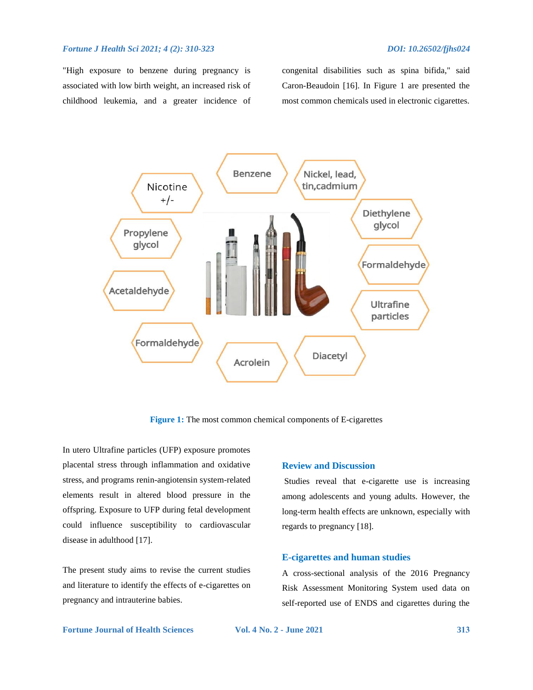"High exposure to benzene during pregnancy is associated with low birth weight, an increased risk of childhood leukemia, and a greater incidence of congenital disabilities such as spina bifida," said Caron-Beaudoin [16]. In Figure 1 are presented the most common chemicals used in electronic cigarettes.



**Figure 1:** The most common chemical components of E-cigarettes

In utero Ultrafine particles (UFP) exposure promotes placental stress through inflammation and oxidative stress, and programs renin-angiotensin system-related elements result in altered blood pressure in the offspring. Exposure to UFP during fetal development could influence susceptibility to cardiovascular disease in adulthood [17].

The present study aims to revise the current studies and literature to identify the effects of e-cigarettes on pregnancy and intrauterine babies.

#### **Review and Discussion**

Studies reveal that e-cigarette use is increasing among adolescents and young adults. However, the long-term health effects are unknown, especially with regards to pregnancy [18].

#### **E-cigarettes and human studies**

A cross-sectional analysis of the 2016 Pregnancy Risk Assessment Monitoring System used data on self-reported use of ENDS and cigarettes during the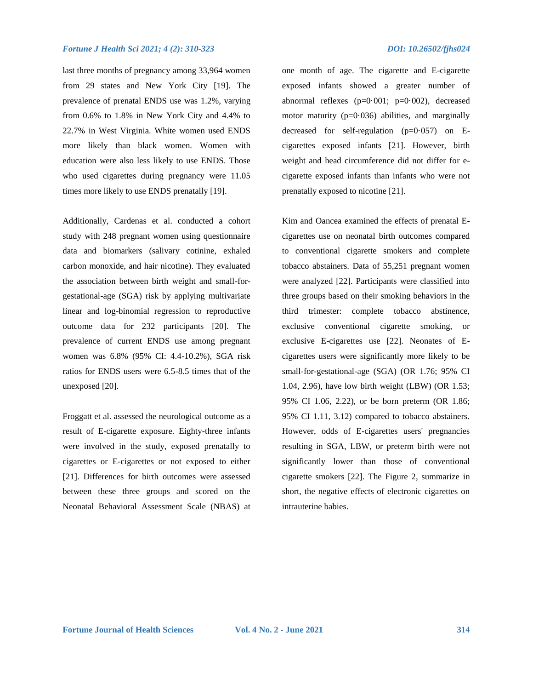last three months of pregnancy among 33,964 women from 29 states and New York City [19]. The prevalence of prenatal ENDS use was 1.2%, varying from 0.6% to 1.8% in New York City and 4.4% to 22.7% in West Virginia. White women used ENDS more likely than black women. Women with education were also less likely to use ENDS. Those who used cigarettes during pregnancy were 11.05 times more likely to use ENDS prenatally [19].

Additionally, Cardenas et al. conducted a cohort study with 248 pregnant women using questionnaire data and biomarkers (salivary cotinine, exhaled carbon monoxide, and hair nicotine). They evaluated the association between birth weight and small-forgestational-age (SGA) risk by applying multivariate linear and log-binomial regression to reproductive outcome data for 232 participants [20]. The prevalence of current ENDS use among pregnant women was 6.8% (95% CI: 4.4-10.2%), SGA risk ratios for ENDS users were 6.5-8.5 times that of the unexposed [20].

Froggatt et al. assessed the neurological outcome as a result of E-cigarette exposure. Eighty-three infants were involved in the study, exposed prenatally to cigarettes or E-cigarettes or not exposed to either [21]. Differences for birth outcomes were assessed between these three groups and scored on the Neonatal Behavioral Assessment Scale (NBAS) at

one month of age. The cigarette and E-cigarette exposed infants showed a greater number of abnormal reflexes ( $p=0.001$ ;  $p=0.002$ ), decreased motor maturity ( $p=0.036$ ) abilities, and marginally decreased for self-regulation  $(p=0.057)$  on Ecigarettes exposed infants [21]. However, birth weight and head circumference did not differ for ecigarette exposed infants than infants who were not prenatally exposed to nicotine [21].

Kim and Oancea examined the effects of prenatal Ecigarettes use on neonatal birth outcomes compared to conventional cigarette smokers and complete tobacco abstainers. Data of 55,251 pregnant women were analyzed [22]. Participants were classified into three groups based on their smoking behaviors in the third trimester: complete tobacco abstinence, exclusive conventional cigarette smoking, or exclusive E-cigarettes use [22]. Neonates of Ecigarettes users were significantly more likely to be small-for-gestational-age (SGA) (OR 1.76; 95% CI 1.04, 2.96), have low birth weight (LBW) (OR 1.53; 95% CI 1.06, 2.22), or be born preterm (OR 1.86; 95% CI 1.11, 3.12) compared to tobacco abstainers. However, odds of E-cigarettes users' pregnancies resulting in SGA, LBW, or preterm birth were not significantly lower than those of conventional cigarette smokers [22]. The Figure 2, summarize in short, the negative effects of electronic cigarettes on intrauterine babies.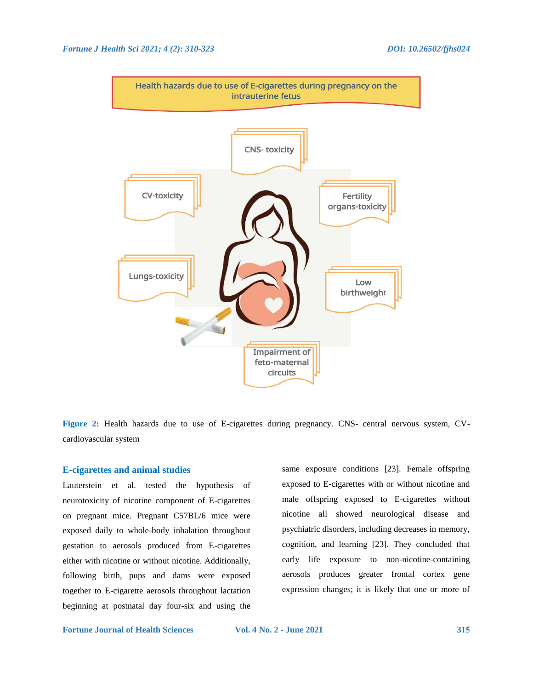

**Figure 2:** Health hazards due to use of E-cigarettes during pregnancy. CNS- central nervous system, CVcardiovascular system

#### **E-cigarettes and animal studies**

Lauterstein et al. tested the hypothesis of neurotoxicity of nicotine component of E-cigarettes on pregnant mice. Pregnant C57BL/6 mice were exposed daily to whole-body inhalation throughout gestation to aerosols produced from E-cigarettes either with nicotine or without nicotine. Additionally, following birth, pups and dams were exposed together to E-cigarette aerosols throughout lactation beginning at postnatal day four-six and using the

same exposure conditions [23]. Female offspring exposed to E-cigarettes with or without nicotine and male offspring exposed to E-cigarettes without nicotine all showed neurological disease and psychiatric disorders, including decreases in memory, cognition, and learning [23]. They concluded that early life exposure to non-nicotine-containing aerosols produces greater frontal cortex gene expression changes; it is likely that one or more of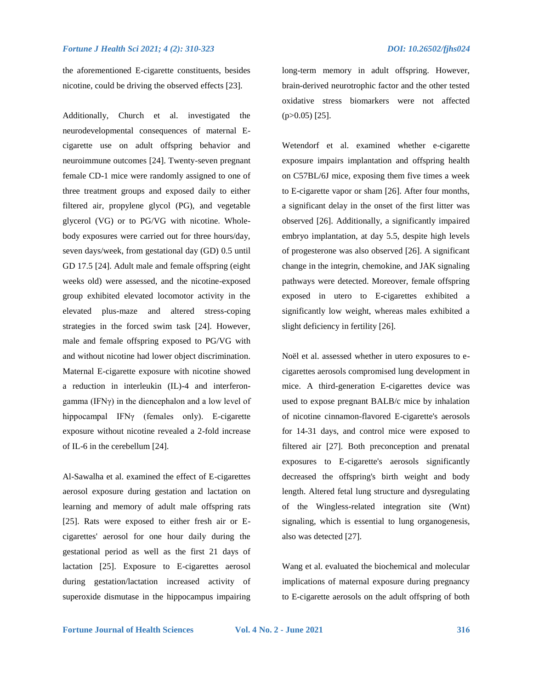the aforementioned E-cigarette constituents, besides nicotine, could be driving the observed effects [23].

Additionally, Church et al. investigated the neurodevelopmental consequences of maternal Ecigarette use on adult offspring behavior and neuroimmune outcomes [24]. Twenty-seven pregnant female CD-1 mice were randomly assigned to one of three treatment groups and exposed daily to either filtered air, propylene glycol (PG), and vegetable glycerol (VG) or to PG/VG with nicotine. Wholebody exposures were carried out for three hours/day, seven days/week, from gestational day (GD) 0.5 until GD 17.5 [24]. Adult male and female offspring (eight weeks old) were assessed, and the nicotine-exposed group exhibited elevated locomotor activity in the elevated plus-maze and altered stress-coping strategies in the forced swim task [24]. However, male and female offspring exposed to PG/VG with and without nicotine had lower object discrimination. Maternal E-cigarette exposure with nicotine showed a reduction in interleukin (IL)-4 and interferongamma (IFNγ) in the diencephalon and a low level of hippocampal IFNγ (females only). E-cigarette exposure without nicotine revealed a 2-fold increase of IL-6 in the cerebellum [24].

Al-Sawalha et al. examined the effect of E-cigarettes aerosol exposure during gestation and lactation on learning and memory of adult male offspring rats [25]. Rats were exposed to either fresh air or Ecigarettes' aerosol for one hour daily during the gestational period as well as the first 21 days of lactation [25]. Exposure to E-cigarettes aerosol during gestation/lactation increased activity of superoxide dismutase in the hippocampus impairing long-term memory in adult offspring. However, brain-derived neurotrophic factor and the other tested oxidative stress biomarkers were not affected (p>0.05) [25].

Wetendorf et al. examined whether e-cigarette exposure impairs implantation and offspring health on C57BL/6J mice, exposing them five times a week to E-cigarette vapor or sham [26]. After four months, a significant delay in the onset of the first litter was observed [26]. Additionally, a significantly impaired embryo implantation, at day 5.5, despite high levels of progesterone was also observed [26]. A significant change in the integrin, chemokine, and JAK signaling pathways were detected. Moreover, female offspring exposed in utero to E-cigarettes exhibited a significantly low weight, whereas males exhibited a slight deficiency in fertility [26].

Noël et al. assessed whether in utero exposures to ecigarettes aerosols compromised lung development in mice. A third-generation E-cigarettes device was used to expose pregnant BALB/c mice by inhalation of nicotine cinnamon-flavored E-cigarette's aerosols for 14-31 days, and control mice were exposed to filtered air [27]. Both preconception and prenatal exposures to E-cigarette's aerosols significantly decreased the offspring's birth weight and body length. Altered fetal lung structure and dysregulating of the Wingless-related integration site (Wnt) signaling, which is essential to lung organogenesis, also was detected [27].

Wang et al. evaluated the biochemical and molecular implications of maternal exposure during pregnancy to E-cigarette aerosols on the adult offspring of both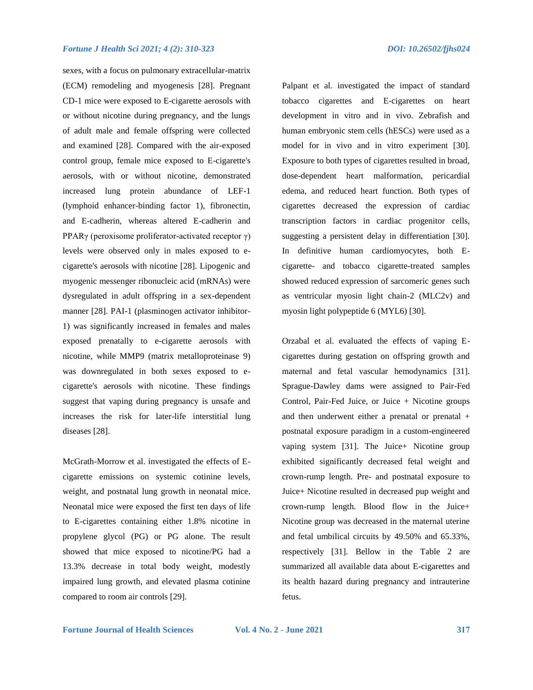#### *Fortune J Health Sci 2021; 4 (2): 310-323 DOI: 10.26502/fjhs024*

sexes, with a focus on pulmonary extracellular-matrix (ECM) remodeling and myogenesis [28]. Pregnant CD-1 mice were exposed to E-cigarette aerosols with or without nicotine during pregnancy, and the lungs of adult male and female offspring were collected and examined [28]. Compared with the air-exposed control group, female mice exposed to E-cigarette's aerosols, with or without nicotine, demonstrated increased lung protein abundance of LEF-1 (lymphoid enhancer-binding factor 1), fibronectin, and E-cadherin, whereas altered E-cadherin and PPARγ (peroxisome proliferator-activated receptor γ) levels were observed only in males exposed to ecigarette's aerosols with nicotine [28]. Lipogenic and myogenic messenger ribonucleic acid (mRNAs) were dysregulated in adult offspring in a sex-dependent manner [28]. PAI-1 (plasminogen activator inhibitor-1) was significantly increased in females and males exposed prenatally to e-cigarette aerosols with nicotine, while MMP9 (matrix metalloproteinase 9) was downregulated in both sexes exposed to ecigarette's aerosols with nicotine. These findings suggest that vaping during pregnancy is unsafe and increases the risk for later-life interstitial lung diseases [28].

McGrath-Morrow et al. investigated the effects of Ecigarette emissions on systemic cotinine levels, weight, and postnatal lung growth in neonatal mice. Neonatal mice were exposed the first ten days of life to E-cigarettes containing either 1.8% nicotine in propylene glycol (PG) or PG alone. The result showed that mice exposed to nicotine/PG had a 13.3% decrease in total body weight, modestly impaired lung growth, and elevated plasma cotinine compared to room air controls [29].

Palpant et al. investigated the impact of standard tobacco cigarettes and E-cigarettes on heart development in vitro and in vivo. Zebrafish and human embryonic stem cells (hESCs) were used as a model for in vivo and in vitro experiment [30]. Exposure to both types of cigarettes resulted in broad, dose-dependent heart malformation, pericardial edema, and reduced heart function. Both types of cigarettes decreased the expression of cardiac transcription factors in cardiac progenitor cells, suggesting a persistent delay in differentiation [30]. In definitive human cardiomyocytes, both Ecigarette- and tobacco cigarette-treated samples showed reduced expression of sarcomeric genes such as ventricular myosin light chain-2 (MLC2v) and myosin light polypeptide 6 (MYL6) [30].

Orzabal et al. evaluated the effects of vaping Ecigarettes during gestation on offspring growth and maternal and fetal vascular hemodynamics [31]. Sprague-Dawley dams were assigned to Pair-Fed Control, Pair-Fed Juice, or Juice  $+$  Nicotine groups and then underwent either a prenatal or prenatal + postnatal exposure paradigm in a custom-engineered vaping system [31]. The Juice+ Nicotine group exhibited significantly decreased fetal weight and crown-rump length. Pre- and postnatal exposure to Juice+ Nicotine resulted in decreased pup weight and crown-rump length. Blood flow in the Juice+ Nicotine group was decreased in the maternal uterine and fetal umbilical circuits by 49.50% and 65.33%, respectively [31]. Bellow in the Table 2 are summarized all available data about E-cigarettes and its health hazard during pregnancy and intrauterine fetus.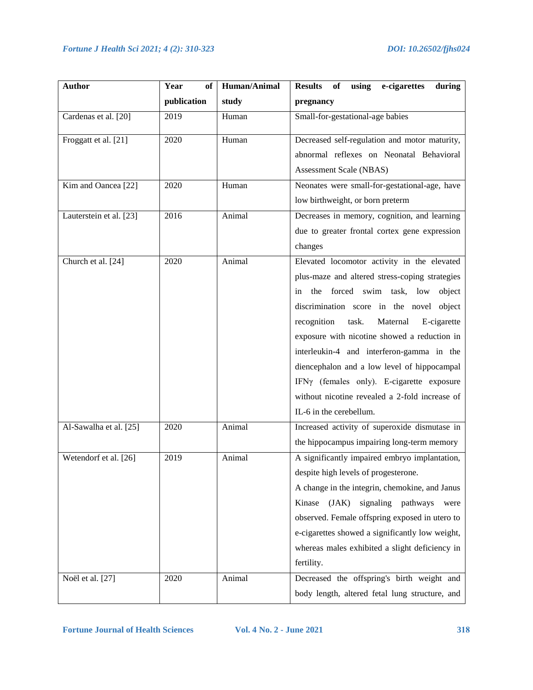| <b>Author</b>           | Year<br>of  | Human/Animal | Results of using<br>e-cigarettes<br>during      |
|-------------------------|-------------|--------------|-------------------------------------------------|
|                         | publication | study        | pregnancy                                       |
| Cardenas et al. [20]    | 2019        | Human        | Small-for-gestational-age babies                |
| Froggatt et al. [21]    | 2020        | Human        | Decreased self-regulation and motor maturity,   |
|                         |             |              | abnormal reflexes on Neonatal Behavioral        |
|                         |             |              | Assessment Scale (NBAS)                         |
| Kim and Oancea [22]     | 2020        | Human        | Neonates were small-for-gestational-age, have   |
|                         |             |              | low birthweight, or born preterm                |
| Lauterstein et al. [23] | 2016        | Animal       | Decreases in memory, cognition, and learning    |
|                         |             |              | due to greater frontal cortex gene expression   |
|                         |             |              | changes                                         |
| Church et al. [24]      | 2020        | Animal       | Elevated locomotor activity in the elevated     |
|                         |             |              | plus-maze and altered stress-coping strategies  |
|                         |             |              | forced swim task, low<br>object<br>the<br>in    |
|                         |             |              | discrimination score in the novel object        |
|                         |             |              | recognition<br>task.<br>Maternal<br>E-cigarette |
|                         |             |              | exposure with nicotine showed a reduction in    |
|                         |             |              | interleukin-4 and interferon-gamma in the       |
|                         |             |              | diencephalon and a low level of hippocampal     |
|                         |             |              | IFNy (females only). E-cigarette exposure       |
|                         |             |              | without nicotine revealed a 2-fold increase of  |
|                         |             |              | IL-6 in the cerebellum.                         |
| Al-Sawalha et al. [25]  | 2020        | Animal       | Increased activity of superoxide dismutase in   |
|                         |             |              | the hippocampus impairing long-term memory      |
| Wetendorf et al. [26]   | 2019        | Animal       | A significantly impaired embryo implantation,   |
|                         |             |              | despite high levels of progesterone.            |
|                         |             |              | A change in the integrin, chemokine, and Janus  |
|                         |             |              | signaling pathways<br>(JAK)<br>Kinase<br>were   |
|                         |             |              | observed. Female offspring exposed in utero to  |
|                         |             |              | e-cigarettes showed a significantly low weight, |
|                         |             |              | whereas males exhibited a slight deficiency in  |
|                         |             |              | fertility.                                      |
| Noël et al. [27]        | 2020        | Animal       | Decreased the offspring's birth weight and      |
|                         |             |              | body length, altered fetal lung structure, and  |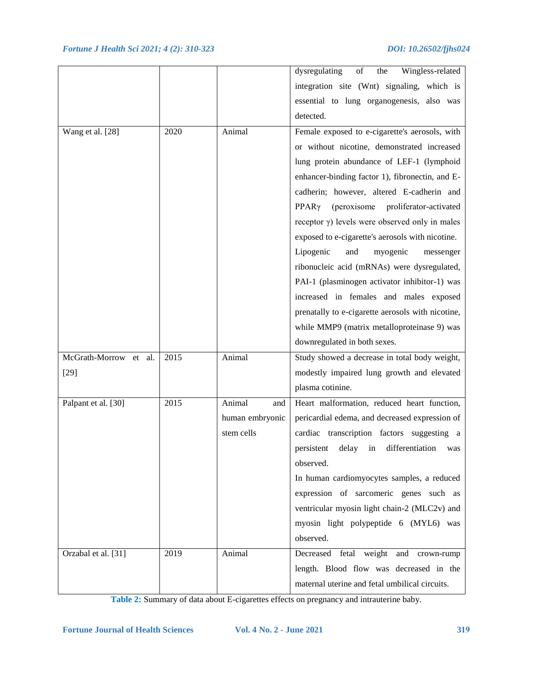|                       |      |                 | dysregulating<br>the<br>Wingless-related<br>of          |
|-----------------------|------|-----------------|---------------------------------------------------------|
|                       |      |                 | integration site (Wnt) signaling, which is              |
|                       |      |                 | essential to lung organogenesis, also was               |
|                       |      |                 | detected.                                               |
| Wang et al. [28]      | 2020 | Animal          | Female exposed to e-cigarette's aerosols, with          |
|                       |      |                 | or without nicotine, demonstrated increased             |
|                       |      |                 | lung protein abundance of LEF-1 (lymphoid               |
|                       |      |                 | enhancer-binding factor 1), fibronectin, and E-         |
|                       |      |                 | cadherin; however, altered E-cadherin and               |
|                       |      |                 | (peroxisome proliferator-activated<br>PPAR <sub>y</sub> |
|                       |      |                 | receptor $\gamma$ ) levels were observed only in males  |
|                       |      |                 | exposed to e-cigarette's aerosols with nicotine.        |
|                       |      |                 | Lipogenic<br>and<br>myogenic<br>messenger               |
|                       |      |                 | ribonucleic acid (mRNAs) were dysregulated,             |
|                       |      |                 | PAI-1 (plasminogen activator inhibitor-1) was           |
|                       |      |                 | increased in females and males exposed                  |
|                       |      |                 | prenatally to e-cigarette aerosols with nicotine,       |
|                       |      |                 | while MMP9 (matrix metalloproteinase 9) was             |
|                       |      |                 | downregulated in both sexes.                            |
| McGrath-Morrow et al. | 2015 | Animal          | Study showed a decrease in total body weight,           |
| $[29]$                |      |                 | modestly impaired lung growth and elevated              |
|                       |      |                 | plasma cotinine.                                        |
| Palpant et al. [30]   | 2015 | Animal<br>and   | Heart malformation, reduced heart function,             |
|                       |      | human embryonic | pericardial edema, and decreased expression of          |
|                       |      | stem cells      | cardiac transcription factors suggesting a              |
|                       |      |                 | differentiation<br>persistent<br>delay<br>in<br>was     |
|                       |      |                 | observed.                                               |
|                       |      |                 | In human cardiomyocytes samples, a reduced              |
|                       |      |                 | expression of sarcomeric genes such as                  |
|                       |      |                 | ventricular myosin light chain-2 (MLC2v) and            |
|                       |      |                 | myosin light polypeptide 6 (MYL6) was                   |
|                       |      |                 | observed.                                               |
| Orzabal et al. [31]   | 2019 | Animal          | Decreased fetal weight and<br>crown-rump                |
|                       |      |                 | length. Blood flow was decreased in the                 |
|                       |      |                 | maternal uterine and fetal umbilical circuits.          |

**Table 2:** Summary of data about E-cigarettes effects on pregnancy and intrauterine baby.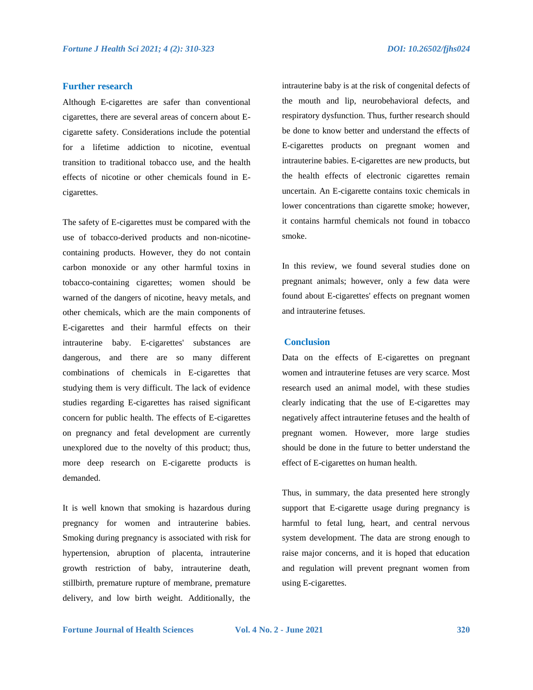#### **Further research**

Although E-cigarettes are safer than conventional cigarettes, there are several areas of concern about Ecigarette safety. Considerations include the potential for a lifetime addiction to nicotine, eventual transition to traditional tobacco use, and the health effects of nicotine or other chemicals found in Ecigarettes.

The safety of E-cigarettes must be compared with the use of tobacco-derived products and non-nicotinecontaining products. However, they do not contain carbon monoxide or any other harmful toxins in tobacco-containing cigarettes; women should be warned of the dangers of nicotine, heavy metals, and other chemicals, which are the main components of E-cigarettes and their harmful effects on their intrauterine baby. E-cigarettes' substances are dangerous, and there are so many different combinations of chemicals in E-cigarettes that studying them is very difficult. The lack of evidence studies regarding E-cigarettes has raised significant concern for public health. The effects of E-cigarettes on pregnancy and fetal development are currently unexplored due to the novelty of this product; thus, more deep research on E-cigarette products is demanded.

It is well known that smoking is hazardous during pregnancy for women and intrauterine babies. Smoking during pregnancy is associated with risk for hypertension, abruption of placenta, intrauterine growth restriction of baby, intrauterine death, stillbirth, premature rupture of membrane, premature delivery, and low birth weight. Additionally, the

intrauterine baby is at the risk of congenital defects of the mouth and lip, neurobehavioral defects, and respiratory dysfunction. Thus, further research should be done to know better and understand the effects of E-cigarettes products on pregnant women and intrauterine babies. E-cigarettes are new products, but the health effects of electronic cigarettes remain uncertain. An E-cigarette contains toxic chemicals in lower concentrations than cigarette smoke; however, it contains harmful chemicals not found in tobacco smoke.

In this review, we found several studies done on pregnant animals; however, only a few data were found about E-cigarettes' effects on pregnant women and intrauterine fetuses.

#### **Conclusion**

Data on the effects of E-cigarettes on pregnant women and intrauterine fetuses are very scarce. Most research used an animal model, with these studies clearly indicating that the use of E-cigarettes may negatively affect intrauterine fetuses and the health of pregnant women. However, more large studies should be done in the future to better understand the effect of E-cigarettes on human health.

Thus, in summary, the data presented here strongly support that E-cigarette usage during pregnancy is harmful to fetal lung, heart, and central nervous system development. The data are strong enough to raise major concerns, and it is hoped that education and regulation will prevent pregnant women from using E-cigarettes.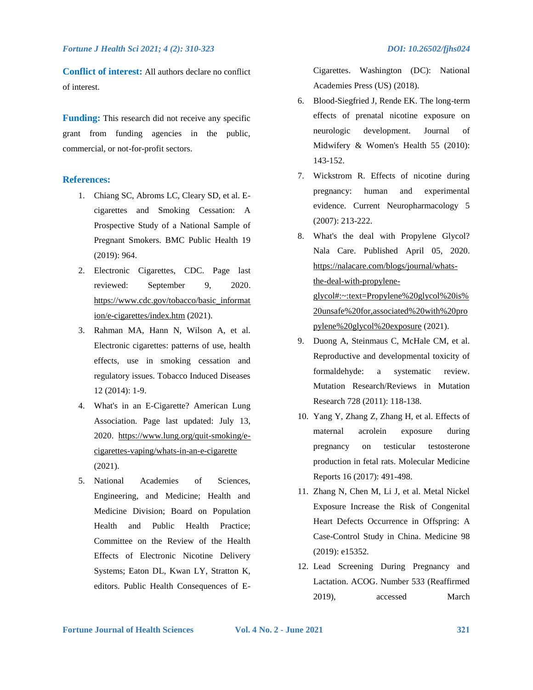**Conflict of interest:** All authors declare no conflict of interest.

**Funding:** This research did not receive any specific grant from funding agencies in the public, commercial, or not-for-profit sectors.

### **References:**

- 1. Chiang SC, Abroms LC, Cleary SD, et al. Ecigarettes and Smoking Cessation: A Prospective Study of a National Sample of Pregnant Smokers. BMC Public Health 19 (2019): 964.
- 2. Electronic Cigarettes, CDC. Page last reviewed: September 9, 2020. [https://www.cdc.gov/tobacco/basic\\_informat](https://www.cdc.gov/tobacco/basic_information/e-cigarettes/index.htm) [ion/e-cigarettes/index.htm](https://www.cdc.gov/tobacco/basic_information/e-cigarettes/index.htm) (2021).
- 3. Rahman MA, Hann N, Wilson A, et al. Electronic cigarettes: patterns of use, health effects, use in smoking cessation and regulatory issues. Tobacco Induced Diseases 12 (2014): 1-9.
- 4. What's in an E-Cigarette? American Lung Association. Page last updated: July 13, 2020. [https://www.lung.org/quit-smoking/e](https://www.lung.org/quit-smoking/e-cigarettes-vaping/whats-in-an-e-cigarette)[cigarettes-vaping/whats-in-an-e-cigarette](https://www.lung.org/quit-smoking/e-cigarettes-vaping/whats-in-an-e-cigarette) (2021).
- 5. National Academies of Sciences, Engineering, and Medicine; Health and Medicine Division; Board on Population Health and Public Health Practice; Committee on the Review of the Health Effects of Electronic Nicotine Delivery Systems; Eaton DL, Kwan LY, Stratton K, editors. Public Health Consequences of E-

Cigarettes. Washington (DC): National Academies Press (US) (2018).

- 6. Blood-Siegfried J, Rende EK. The long-term effects of prenatal nicotine exposure on neurologic development. Journal of Midwifery & Women's Health 55 (2010): 143-152.
- 7. Wickstrom R. Effects of nicotine during pregnancy: human and experimental evidence. Current Neuropharmacology 5 (2007): 213-222.
- 8. What's the deal with Propylene Glycol? Nala Care. Published April 05, 2020. [https://nalacare.com/blogs/journal/whats](https://nalacare.com/blogs/journal/whats-the-deal-with-propylene-glycol#:~:text=Propylene%20glycol%20is%20unsafe%20for,associated%20with%20propylene%20glycol%20exposure)[the-deal-with-propylene](https://nalacare.com/blogs/journal/whats-the-deal-with-propylene-glycol#:~:text=Propylene%20glycol%20is%20unsafe%20for,associated%20with%20propylene%20glycol%20exposure)[glycol#:~:text=Propylene%20glycol%20is%](https://nalacare.com/blogs/journal/whats-the-deal-with-propylene-glycol#:~:text=Propylene%20glycol%20is%20unsafe%20for,associated%20with%20propylene%20glycol%20exposure) [20unsafe%20for,associated%20with%20pro](https://nalacare.com/blogs/journal/whats-the-deal-with-propylene-glycol#:~:text=Propylene%20glycol%20is%20unsafe%20for,associated%20with%20propylene%20glycol%20exposure) [pylene%20glycol%20exposure](https://nalacare.com/blogs/journal/whats-the-deal-with-propylene-glycol#:~:text=Propylene%20glycol%20is%20unsafe%20for,associated%20with%20propylene%20glycol%20exposure) (2021).
- 9. Duong A, Steinmaus C, McHale CM, et al. Reproductive and developmental toxicity of formaldehyde: a systematic review. Mutation Research/Reviews in Mutation Research 728 (2011): 118-138.
- 10. Yang Y, Zhang Z, Zhang H, et al. Effects of maternal acrolein exposure during pregnancy on testicular testosterone production in fetal rats. Molecular Medicine Reports 16 (2017): 491-498.
- 11. Zhang N, Chen M, Li J, et al. Metal Nickel Exposure Increase the Risk of Congenital Heart Defects Occurrence in Offspring: A Case-Control Study in China. Medicine 98 (2019): e15352.
- 12. Lead Screening During Pregnancy and Lactation. ACOG. Number 533 (Reaffirmed 2019), accessed March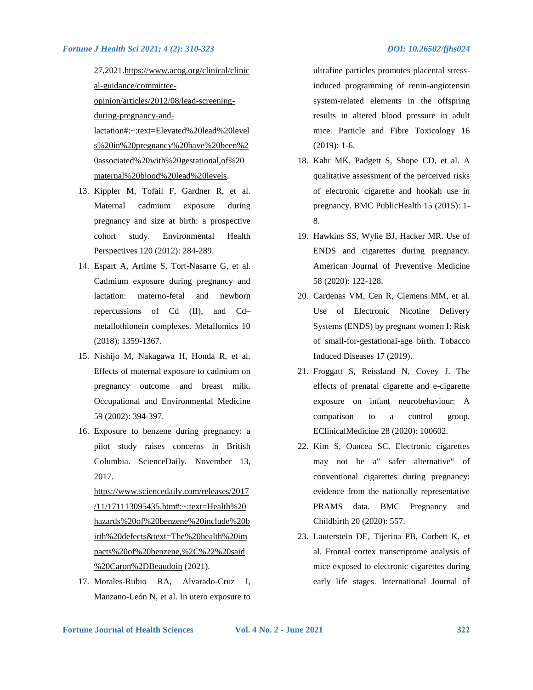27,2021[.https://www.acog.org/clinical/clinic](https://www.acog.org/clinical/clinical-guidance/committee-opinion/articles/2012/08/lead-screening-during-pregnancy-and-lactation#:~:text=Elevated%20lead%20levels%20in%20pregnancy%20have%20been%20associated%20with%20gestational,of%20maternal%20blood%20lead%20levels) [al-guidance/committee](https://www.acog.org/clinical/clinical-guidance/committee-opinion/articles/2012/08/lead-screening-during-pregnancy-and-lactation#:~:text=Elevated%20lead%20levels%20in%20pregnancy%20have%20been%20associated%20with%20gestational,of%20maternal%20blood%20lead%20levels)[opinion/articles/2012/08/lead-screening](https://www.acog.org/clinical/clinical-guidance/committee-opinion/articles/2012/08/lead-screening-during-pregnancy-and-lactation#:~:text=Elevated%20lead%20levels%20in%20pregnancy%20have%20been%20associated%20with%20gestational,of%20maternal%20blood%20lead%20levels)[during-pregnancy-and](https://www.acog.org/clinical/clinical-guidance/committee-opinion/articles/2012/08/lead-screening-during-pregnancy-and-lactation#:~:text=Elevated%20lead%20levels%20in%20pregnancy%20have%20been%20associated%20with%20gestational,of%20maternal%20blood%20lead%20levels)[lactation#:~:text=Elevated%20lead%20level](https://www.acog.org/clinical/clinical-guidance/committee-opinion/articles/2012/08/lead-screening-during-pregnancy-and-lactation#:~:text=Elevated%20lead%20levels%20in%20pregnancy%20have%20been%20associated%20with%20gestational,of%20maternal%20blood%20lead%20levels) [s%20in%20pregnancy%20have%20been%2](https://www.acog.org/clinical/clinical-guidance/committee-opinion/articles/2012/08/lead-screening-during-pregnancy-and-lactation#:~:text=Elevated%20lead%20levels%20in%20pregnancy%20have%20been%20associated%20with%20gestational,of%20maternal%20blood%20lead%20levels) [0associated%20with%20gestational,of%20](https://www.acog.org/clinical/clinical-guidance/committee-opinion/articles/2012/08/lead-screening-during-pregnancy-and-lactation#:~:text=Elevated%20lead%20levels%20in%20pregnancy%20have%20been%20associated%20with%20gestational,of%20maternal%20blood%20lead%20levels)

[maternal%20blood%20lead%20levels.](https://www.acog.org/clinical/clinical-guidance/committee-opinion/articles/2012/08/lead-screening-during-pregnancy-and-lactation#:~:text=Elevated%20lead%20levels%20in%20pregnancy%20have%20been%20associated%20with%20gestational,of%20maternal%20blood%20lead%20levels) 13. Kippler M, Tofail F, Gardner R, et al.

- Maternal cadmium exposure during pregnancy and size at birth: a prospective cohort study. Environmental Health Perspectives 120 (2012): 284-289.
- 14. Espart A, Artime S, Tort-Nasarre G, et al. Cadmium exposure during pregnancy and lactation: materno-fetal and newborn repercussions of Cd (II), and Cd– metallothionein complexes. Metallomics 10 (2018): 1359-1367.
- 15. Nishijo M, Nakagawa H, Honda R, et al. Effects of maternal exposure to cadmium on pregnancy outcome and breast milk. Occupational and Environmental Medicine 59 (2002): 394-397.
- 16. Exposure to benzene during pregnancy: a pilot study raises concerns in British Columbia. ScienceDaily. November 13, 2017.

[https://www.sciencedaily.com/releases/2017](https://www.sciencedaily.com/releases/2017/11/171113095435.htm#:~:text=Health%20hazards%20of%20benzene%20include%20birth%20defects&text=The%20health%20impacts%20of%20benzene,%2C%22%20said%20Caron%2DBeaudoin) [/11/171113095435.htm#:~:text=Health%20](https://www.sciencedaily.com/releases/2017/11/171113095435.htm#:~:text=Health%20hazards%20of%20benzene%20include%20birth%20defects&text=The%20health%20impacts%20of%20benzene,%2C%22%20said%20Caron%2DBeaudoin) [hazards%20of%20benzene%20include%20b](https://www.sciencedaily.com/releases/2017/11/171113095435.htm#:~:text=Health%20hazards%20of%20benzene%20include%20birth%20defects&text=The%20health%20impacts%20of%20benzene,%2C%22%20said%20Caron%2DBeaudoin) [irth%20defects&text=The%20health%20im](https://www.sciencedaily.com/releases/2017/11/171113095435.htm#:~:text=Health%20hazards%20of%20benzene%20include%20birth%20defects&text=The%20health%20impacts%20of%20benzene,%2C%22%20said%20Caron%2DBeaudoin) [pacts%20of%20benzene,%2C%22%20said](https://www.sciencedaily.com/releases/2017/11/171113095435.htm#:~:text=Health%20hazards%20of%20benzene%20include%20birth%20defects&text=The%20health%20impacts%20of%20benzene,%2C%22%20said%20Caron%2DBeaudoin) [%20Caron%2DBeaudoin](https://www.sciencedaily.com/releases/2017/11/171113095435.htm#:~:text=Health%20hazards%20of%20benzene%20include%20birth%20defects&text=The%20health%20impacts%20of%20benzene,%2C%22%20said%20Caron%2DBeaudoin) (2021).

17. Morales-Rubio RA, Alvarado-Cruz I, Manzano-León N, et al. In utero exposure to ultrafine particles promotes placental stressinduced programming of renin-angiotensin system-related elements in the offspring results in altered blood pressure in adult mice. Particle and Fibre Toxicology 16 (2019): 1-6.

- 18. Kahr MK, Padgett S, Shope CD, et al. A qualitative assessment of the perceived risks of electronic cigarette and hookah use in pregnancy. BMC PublicHealth 15 (2015): 1- 8.
- 19. Hawkins SS, Wylie BJ, Hacker MR. Use of ENDS and cigarettes during pregnancy. American Journal of Preventive Medicine 58 (2020): 122-128.
- 20. Cardenas VM, Cen R, Clemens MM, et al. Use of Electronic Nicotine Delivery Systems (ENDS) by pregnant women I: Risk of small-for-gestational-age birth. Tobacco Induced Diseases 17 (2019).
- 21. Froggatt S, Reissland N, Covey J. The effects of prenatal cigarette and e-cigarette exposure on infant neurobehaviour: A comparison to a control group. EClinicalMedicine 28 (2020): 100602.
- 22. Kim S, Oancea SC. Electronic cigarettes may not be a" safer alternative" of conventional cigarettes during pregnancy: evidence from the nationally representative PRAMS data. BMC Pregnancy and Childbirth 20 (2020): 557.
- 23. Lauterstein DE, Tijerina PB, Corbett K, et al. Frontal cortex transcriptome analysis of mice exposed to electronic cigarettes during early life stages. International Journal of